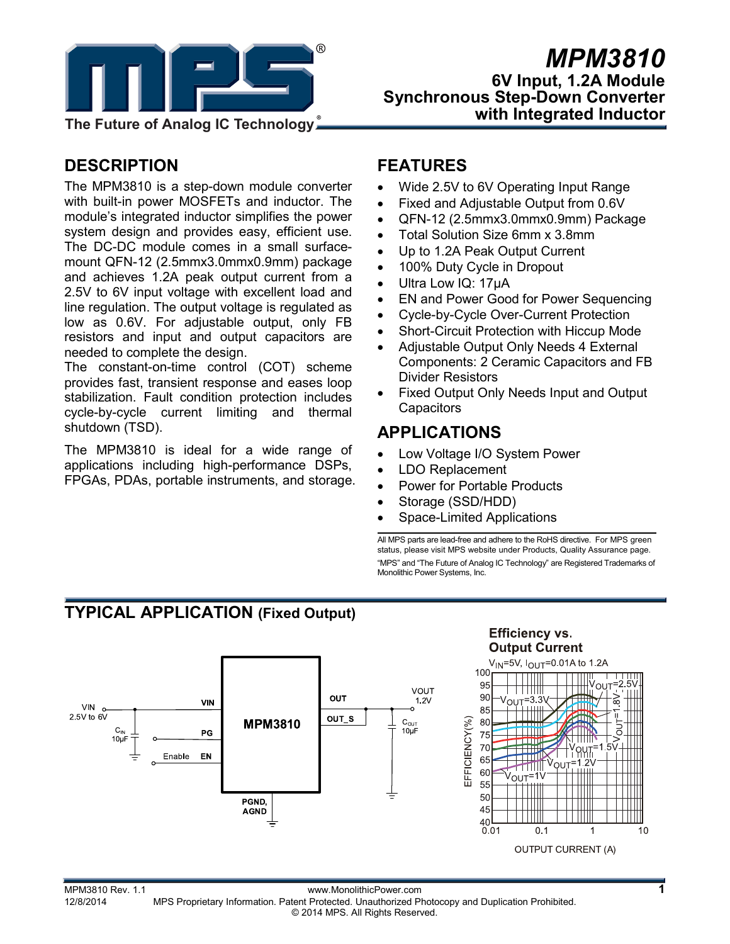

# *MPM3810* **6V Input, 1.2A Module Synchronous Step-Down Converter with Integrated Inductor**

# **DESCRIPTION**

The MPM3810 is a step-down module converter with built-in power MOSFETs and inductor. The module's integrated inductor simplifies the power system design and provides easy, efficient use. The DC-DC module comes in a small surfacemount QFN-12 (2.5mmx3.0mmx0.9mm) package and achieves 1.2A peak output current from a 2.5V to 6V input voltage with excellent load and line regulation. The output voltage is regulated as low as 0.6V. For adjustable output, only FB resistors and input and output capacitors are needed to complete the design.

The constant-on-time control (COT) scheme provides fast, transient response and eases loop stabilization. Fault condition protection includes cycle-by-cycle current limiting and thermal shutdown (TSD).

The MPM3810 is ideal for a wide range of applications including high-performance DSPs, FPGAs, PDAs, portable instruments, and storage.

### **FEATURES**

- Wide 2.5V to 6V Operating Input Range
- Fixed and Adjustable Output from 0.6V
- QFN-12 (2.5mmx3.0mmx0.9mm) Package
- Total Solution Size 6mm x 3.8mm
- Up to 1.2A Peak Output Current
- 100% Duty Cycle in Dropout
- Ultra Low IQ: 17uA
- EN and Power Good for Power Sequencing
- Cycle-by-Cycle Over-Current Protection
- Short-Circuit Protection with Hiccup Mode
- Adjustable Output Only Needs 4 External Components: 2 Ceramic Capacitors and FB Divider Resistors
- Fixed Output Only Needs Input and Output **Capacitors**

# **APPLICATIONS**

- Low Voltage I/O System Power
- LDO Replacement
- Power for Portable Products
- Storage (SSD/HDD)
- Space-Limited Applications

All MPS parts are lead-free and adhere to the RoHS directive. For MPS green status, please visit MPS website under Products, Quality Assurance page. "MPS" and "The Future of Analog IC Technology" are Registered Trademarks of Monolithic Power Systems, Inc.

# **TYPICAL APPLICATION (Fixed Output)**



MPM3810 Rev. 1.1 www.MonolithicPower.com<br>12/8/2014 MPS Proprietary Information Patent Protected Unauthorized Photocopy and Duplication Prohibited 12/8/2014 MPS Proprietary Information. Patent Protected. Unauthorized Photocopy and Duplication Prohibited. © 2014 MPS. All Rights Reserved.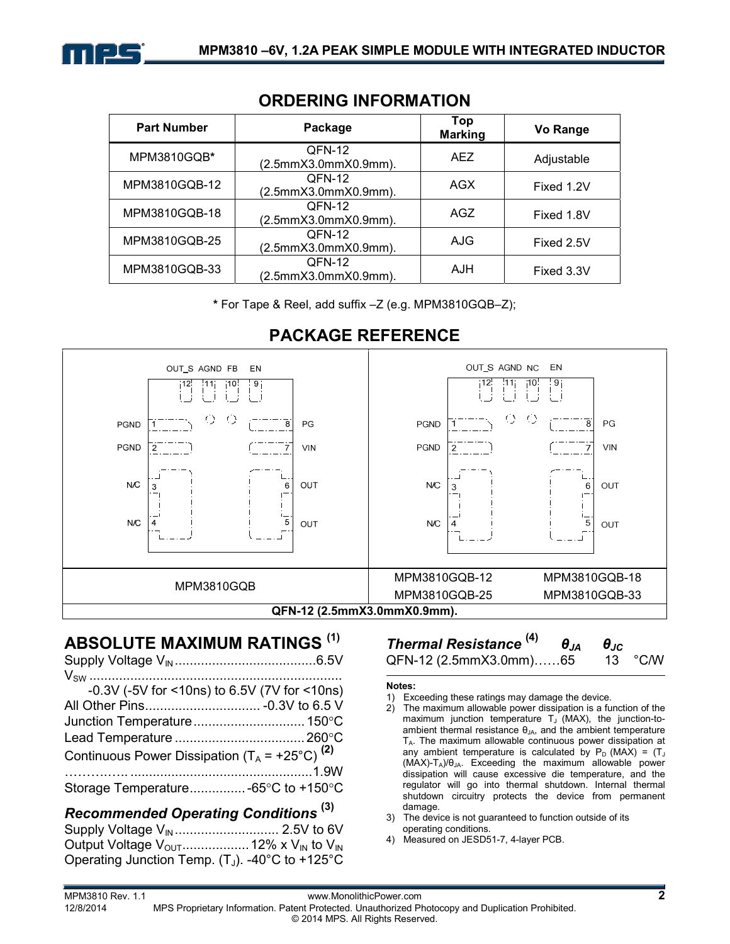

| <b>Part Number</b> | Package                        | Top<br><b>Marking</b> | Vo Range   |
|--------------------|--------------------------------|-----------------------|------------|
| MPM3810GQB*        | QFN-12<br>(2.5mmX3.0mmX0.9mm). | AFZ.                  | Adjustable |
| MPM3810GQB-12      | QFN-12<br>(2.5mmX3.0mmX0.9mm). | AGX                   | Fixed 1.2V |
| MPM3810GQB-18      | QFN-12<br>(2.5mmX3.0mmX0.9mm). | AGZ                   | Fixed 1.8V |
| MPM3810GQB-25      | QFN-12<br>(2.5mmX3.0mmX0.9mm). | AJG                   | Fixed 2.5V |
| MPM3810GQB-33      | QFN-12<br>(2.5mmX3.0mmX0.9mm). | AJH                   | Fixed 3.3V |

### **ORDERING INFORMATION**

**\*** For Tape & Reel, add suffix –Z (e.g. MPM3810GQB–Z);



# **PACKAGE REFERENCE**

### **ABSOLUTE MAXIMUM RATINGS (1)**

| -0.3V (-5V for <10ns) to 6.5V (7V for <10ns)              |     |
|-----------------------------------------------------------|-----|
| All Other Pins - 0.3V to 6.5 V                            |     |
|                                                           |     |
|                                                           |     |
| Continuous Power Dissipation $(T_A = +25^{\circ}C)^{(2)}$ |     |
|                                                           |     |
| Storage Temperature -65°C to +150°C                       |     |
|                                                           | (2) |

#### *Recommended Operating Conditions* **(3)** Supply Voltage VIN ............................ 2.5V to 6V Output Voltage VOUT .................. 12% x VIN to VIN Operating Junction Temp.  $(T_J)$ . -40°C to +125°C

## *Thermal Resistance* **(4)** *θJA θJC* QFN-12 (2.5mmX3.0mm)……65 13 °C/W

#### **Notes:**

- 1) Exceeding these ratings may damage the device.
- 2) The maximum allowable power dissipation is a function of the maximum junction temperature  $T_J$  (MAX), the junction-toambient thermal resistance  $\theta_{\text{IA}}$ , and the ambient temperature TA. The maximum allowable continuous power dissipation at any ambient temperature is calculated by  $P_D$  (MAX) = (T<sub>J</sub> (MAX)-TA)/θJA. Exceeding the maximum allowable power dissipation will cause excessive die temperature, and the regulator will go into thermal shutdown. Internal thermal shutdown circuitry protects the device from permanent damage.
- 3) The device is not guaranteed to function outside of its operating conditions.
- 4) Measured on JESD51-7, 4-layer PCB.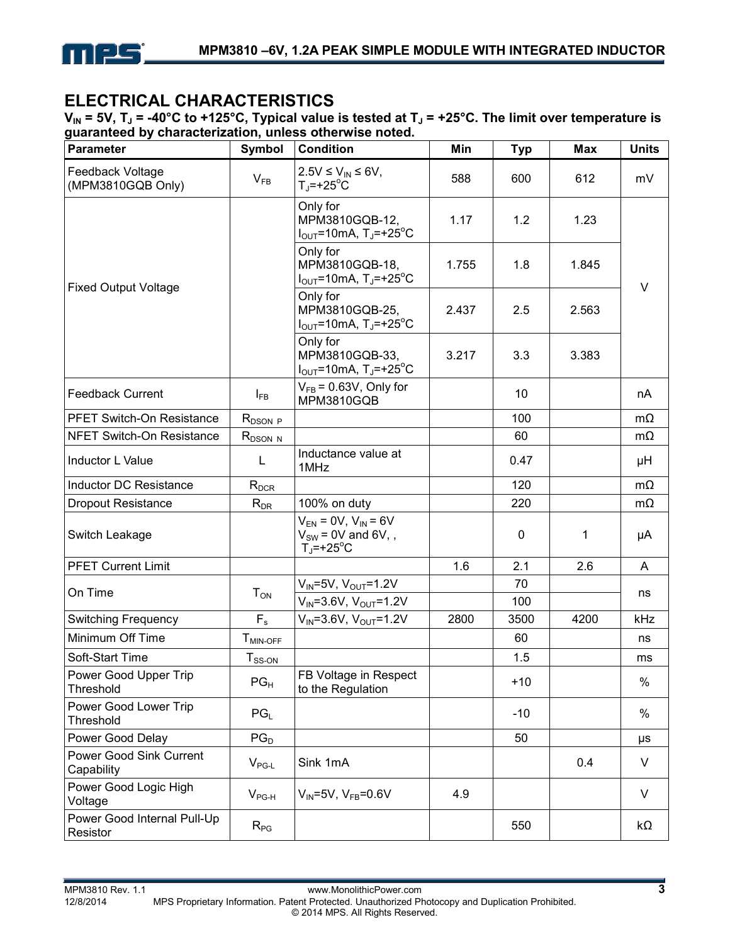

# **ELECTRICAL CHARACTERISTICS**

 $V_{IN}$  = 5V, T<sub>J</sub> = -40°C to +125°C, Typical value is tested at T<sub>J</sub> = +25°C. The limit over temperature is **guaranteed by characterization, unless otherwise noted.** 

| <b>Parameter</b>                        | Symbol                    | <b>Condition</b>                                                                            | Min   | <b>Typ</b>  | <b>Max</b> | <b>Units</b> |
|-----------------------------------------|---------------------------|---------------------------------------------------------------------------------------------|-------|-------------|------------|--------------|
| Feedback Voltage<br>(MPM3810GQB Only)   | $V_{FB}$                  | $2.5V \le V_{IN} \le 6V$ ,<br>$T_{\rm J}$ =+25 <sup>°</sup> C                               | 588   | 600         | 612        | mV           |
|                                         |                           | Only for<br>MPM3810GQB-12,<br>$I_{\text{OUT}}$ =10mA, T <sub>J</sub> =+25 <sup>o</sup> C    | 1.17  | 1.2         | 1.23       |              |
| <b>Fixed Output Voltage</b>             |                           | Only for<br>MPM3810GQB-18,<br>$I_{\text{OUT}}$ =10mA, T <sub>J</sub> =+25 <sup>o</sup> C    | 1.755 | 1.8         | 1.845      | $\vee$       |
|                                         |                           | Only for<br>MPM3810GQB-25,<br>$I_{\text{OUT}}$ =10mA, T <sub>J</sub> =+25 <sup>o</sup> C    | 2.437 | 2.5         | 2.563      |              |
|                                         |                           | Only for<br>MPM3810GQB-33,<br>$I_{\text{OUT}}$ =10mA, T <sub>J</sub> =+25 <sup>o</sup> C    | 3.217 | 3.3         | 3.383      |              |
| <b>Feedback Current</b>                 | $I_{FB}$                  | $V_{FB}$ = 0.63V, Only for<br><b>MPM3810GQB</b>                                             |       | 10          |            | nA           |
| PFET Switch-On Resistance               | $R_{DSON}$ $\overline{P}$ |                                                                                             |       | 100         |            | $m\Omega$    |
| <b>NFET Switch-On Resistance</b>        | $R_{DSON N}$              |                                                                                             |       | 60          |            | $m\Omega$    |
| Inductor L Value                        | L                         | Inductance value at<br>1MHz                                                                 |       | 0.47        |            | μH           |
| <b>Inductor DC Resistance</b>           | $R_{DCR}$                 |                                                                                             |       | 120         |            | $m\Omega$    |
| Dropout Resistance                      | $R_{DR}$                  | 100% on duty                                                                                |       | 220         |            | $m\Omega$    |
| Switch Leakage                          |                           | $V_{EN} = 0V$ , $V_{IN} = 6V$<br>$V_{SW}$ = 0V and 6V, ,<br>$T_{\rm J}$ =+25 <sup>o</sup> C |       | $\mathbf 0$ | 1          | μA           |
| <b>PFET Current Limit</b>               |                           |                                                                                             | 1.6   | 2.1         | 2.6        | A            |
| On Time                                 | $T_{ON}$                  | $V_{IN} = 5V$ , $V_{OUT} = 1.2V$<br>$V_{IN} = 3.6V$ , $V_{OUT} = 1.2V$                      |       | 70<br>100   |            | ns           |
| <b>Switching Frequency</b>              | $F_{s}$                   | $V_{IN} = 3.6V, V_{OUT} = 1.2V$                                                             | 2800  | 3500        | 4200       | kHz          |
| Minimum Off Time                        | $T_{MIN-OFF}$             |                                                                                             |       | 60          |            | ns           |
| Soft-Start Time                         | $T_{SS-ON}$               |                                                                                             |       | 1.5         |            | ms           |
| Power Good Upper Trip<br>Threshold      | $PG_{H}$                  | FB Voltage in Respect<br>to the Regulation                                                  |       | $+10$       |            | $\%$         |
| Power Good Lower Trip<br>Threshold      | $PG_{L}$                  |                                                                                             |       | $-10$       |            | $\%$         |
| Power Good Delay                        | $PG_{D}$                  |                                                                                             |       | 50          |            | μs           |
| Power Good Sink Current<br>Capability   | $V_{\sf PG-L}$            | Sink 1mA                                                                                    |       |             | 0.4        | V            |
| Power Good Logic High<br>Voltage        | $V_{PG-H}$                | $V_{IN} = 5V$ , $V_{FB} = 0.6V$                                                             | 4.9   |             |            | $\vee$       |
| Power Good Internal Pull-Up<br>Resistor | $R_{PG}$                  |                                                                                             |       | 550         |            | $k\Omega$    |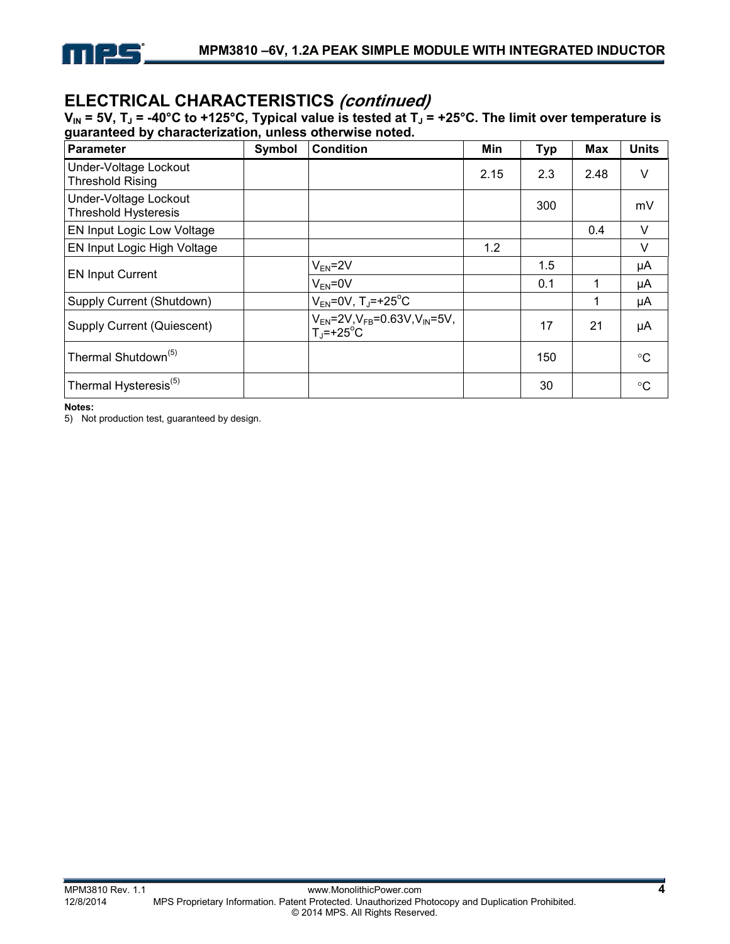

# **ELECTRICAL CHARACTERISTICS (continued)**

 $V_{IN}$  = 5V, T<sub>J</sub> = -40°C to +125°C, Typical value is tested at T<sub>J</sub> = +25°C. The limit over temperature is **guaranteed by characterization, unless otherwise noted.** 

| Parameter                                            | <b>Symbol</b> | <b>Condition</b>                                                                | Min  | <b>Typ</b> | Max  | <b>Units</b> |
|------------------------------------------------------|---------------|---------------------------------------------------------------------------------|------|------------|------|--------------|
| Under-Voltage Lockout<br><b>Threshold Rising</b>     |               |                                                                                 | 2.15 | 2.3        | 2.48 | V            |
| Under-Voltage Lockout<br><b>Threshold Hysteresis</b> |               |                                                                                 |      | 300        |      | mV           |
| <b>EN Input Logic Low Voltage</b>                    |               |                                                                                 |      |            | 0.4  | $\vee$       |
| <b>EN Input Logic High Voltage</b>                   |               |                                                                                 | 1.2  |            |      | $\vee$       |
|                                                      |               | $V_{EN}$ =2V                                                                    |      | 1.5        |      | μA           |
| <b>EN Input Current</b>                              |               | $V_{FN} = 0V$                                                                   |      | 0.1        | 1    | μA           |
| Supply Current (Shutdown)                            |               | $V_{EN} = 0V$ , T <sub>J</sub> =+25 <sup>°</sup> C                              |      |            | 1    | μA           |
| Supply Current (Quiescent)                           |               | $V_{FN} = 2V$ , $V_{FB} = 0.63V$ , $V_{IN} = 5V$ ,<br>$T_i$ =+25 <sup>°</sup> C |      | 17         | 21   | μA           |
| Thermal Shutdown <sup>(5)</sup>                      |               |                                                                                 |      | 150        |      | °C           |
| Thermal Hysteresis <sup>(5)</sup>                    |               |                                                                                 |      | 30         |      | °C           |

**Notes:** 

5) Not production test, guaranteed by design.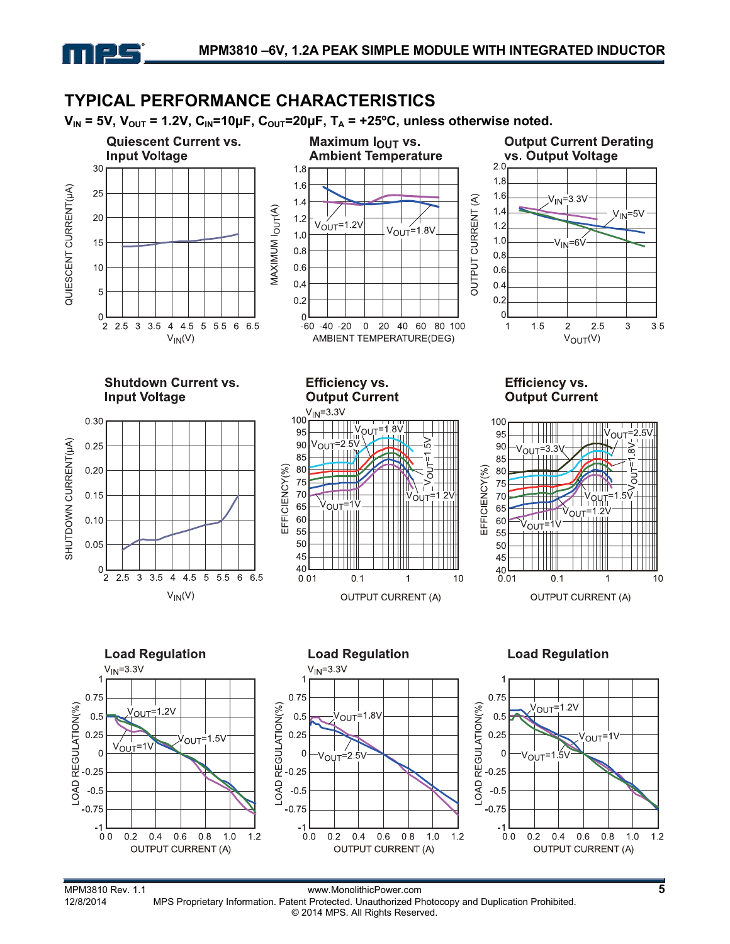



MPS Proprietary Information. Patent Protected. Unauthorized Photocopy and Duplication Prohibited. © 2014 MPS. All Rights Reserved.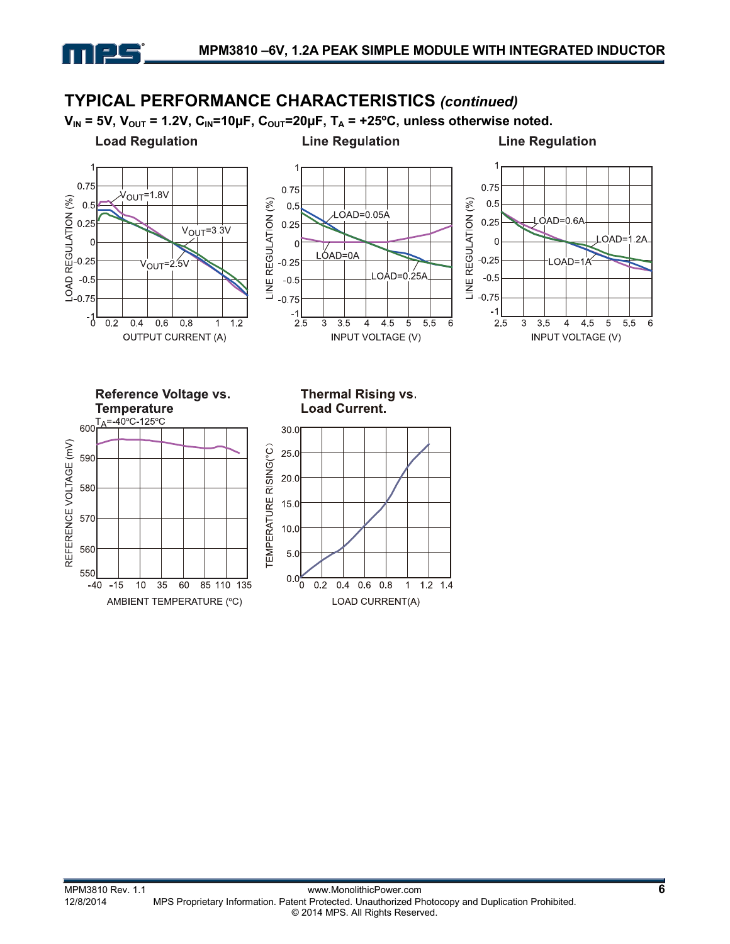

mpc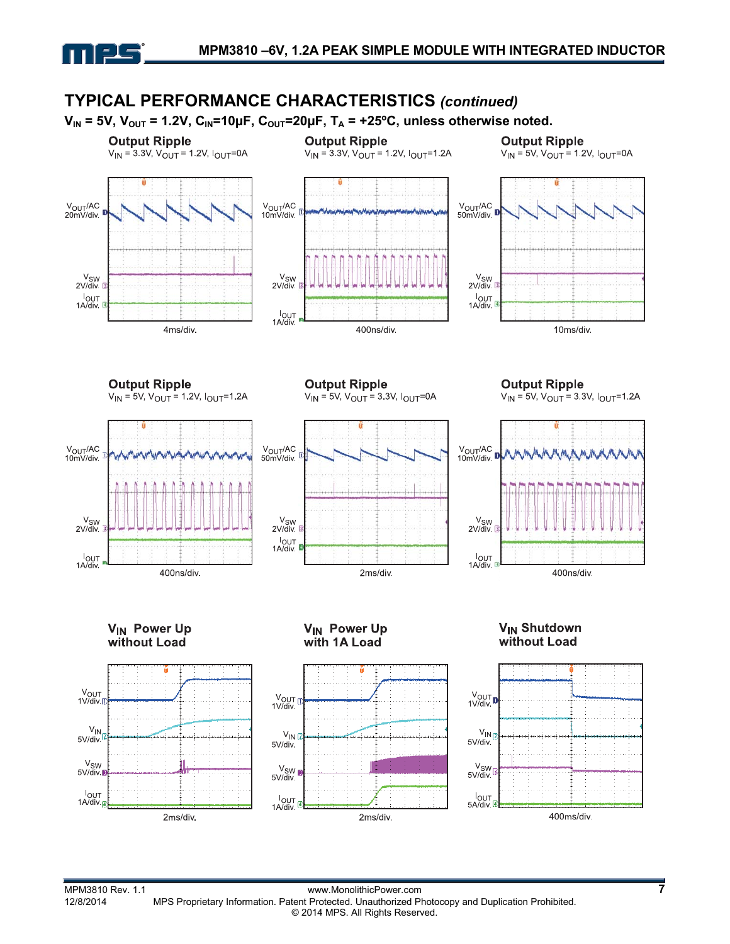

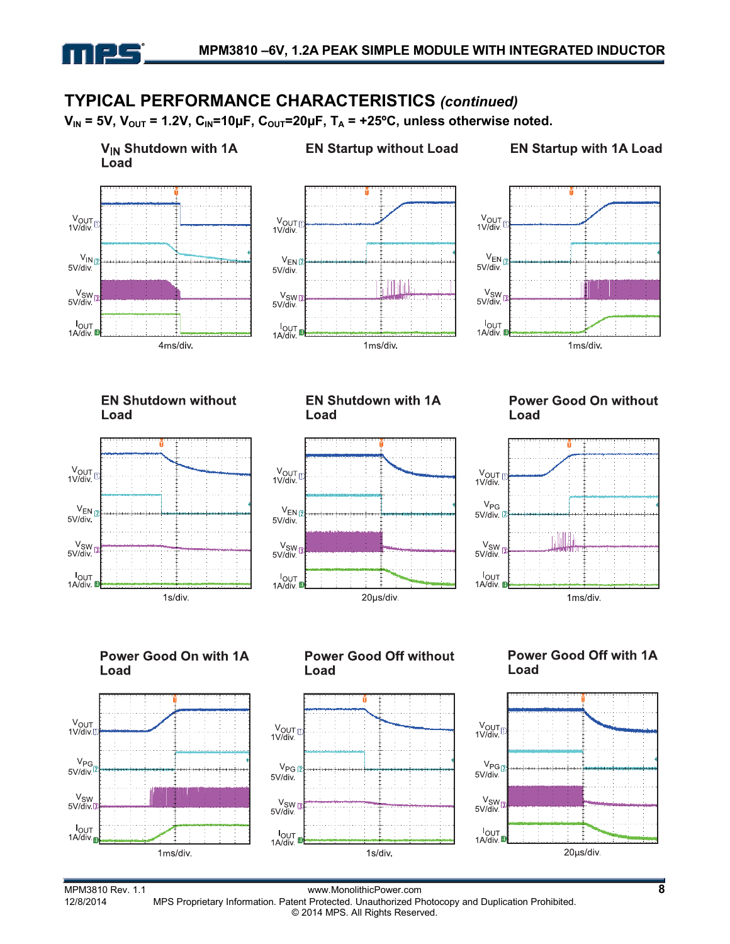# **TYPICAL PERFORMANCE CHARACTERISTICS** *(continued)*

 $V_{IN}$  = 5V,  $V_{OUT}$  = 1.2V,  $C_{IN}$ =10µF,  $C_{OUT}$ =20µF,  $T_A$  = +25°C, unless otherwise noted.



1ms/div.

mps

MPM3810 Rev. 1.1 www.MonolithicPower.com **8** MPS Proprietary Information. Patent Protected. Unauthorized Photocopy and Duplication Prohibited. © 2014 MPS. All Rights Reserved.

1s/div.

20µs/div.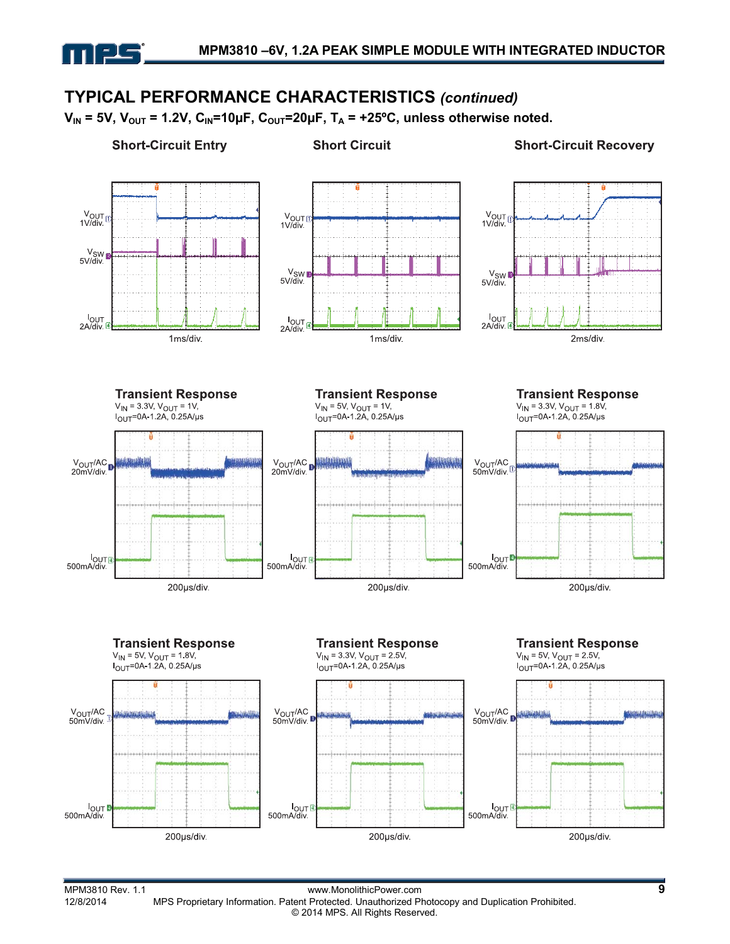# **TYPICAL PERFORMANCE CHARACTERISTICS** *(continued)*

 $V_{IN}$  = 5V,  $V_{OUT}$  = 1.2V,  $C_{IN}$ =10µF,  $C_{OUT}$ =20µF,  $T_A$  = +25°C, unless otherwise noted.

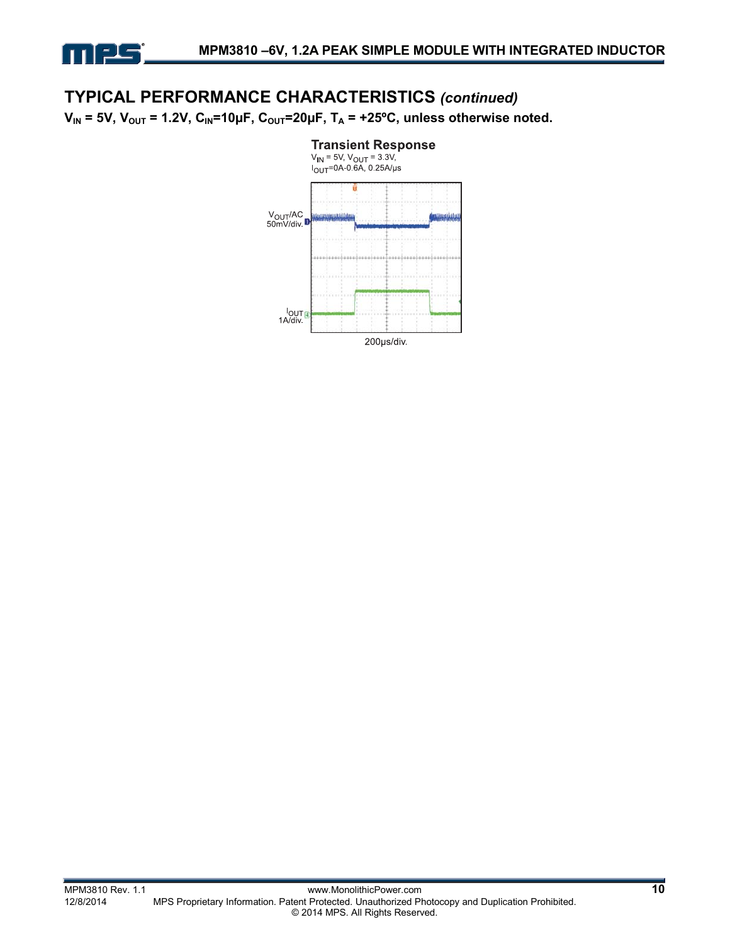

### **TYPICAL PERFORMANCE CHARACTERISTICS** *(continued)*

 $V_{IN}$  = 5V,  $V_{OUT}$  = 1.2V,  $C_{IN}$ =10µF,  $C_{OUT}$ =20µF,  $T_A$  = +25°C, unless otherwise noted.

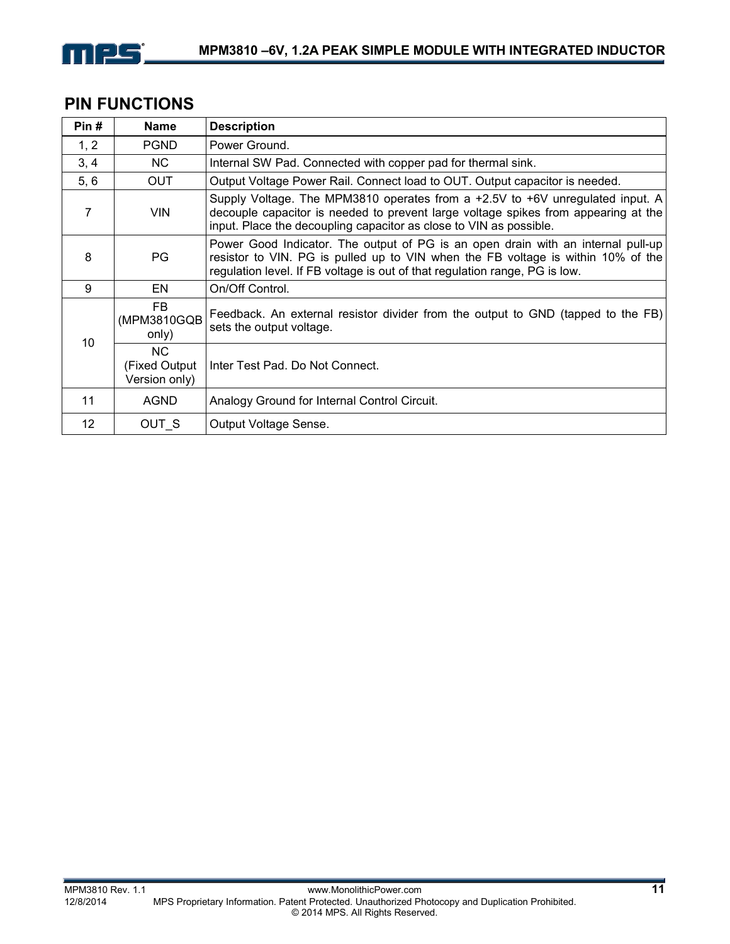

## **PIN FUNCTIONS**

| Pin#            | <b>Name</b>                                 | <b>Description</b>                                                                                                                                                                                                                                  |
|-----------------|---------------------------------------------|-----------------------------------------------------------------------------------------------------------------------------------------------------------------------------------------------------------------------------------------------------|
| 1, 2            | <b>PGND</b>                                 | Power Ground.                                                                                                                                                                                                                                       |
| 3, 4            | NC.                                         | Internal SW Pad. Connected with copper pad for thermal sink.                                                                                                                                                                                        |
| 5, 6            | <b>OUT</b>                                  | Output Voltage Power Rail. Connect load to OUT. Output capacitor is needed.                                                                                                                                                                         |
| 7               | <b>VIN</b>                                  | Supply Voltage. The MPM3810 operates from a $+2.5V$ to $+6V$ unregulated input. A<br>decouple capacitor is needed to prevent large voltage spikes from appearing at the<br>input. Place the decoupling capacitor as close to VIN as possible.       |
| 8               | PG.                                         | Power Good Indicator. The output of PG is an open drain with an internal pull-up<br>resistor to VIN. PG is pulled up to VIN when the FB voltage is within 10% of the<br>regulation level. If FB voltage is out of that regulation range, PG is low. |
| 9               | EN                                          | On/Off Control.                                                                                                                                                                                                                                     |
| 10              | FB.<br>(MPM3810GQB<br>only)                 | Feedback. An external resistor divider from the output to GND (tapped to the FB)<br>sets the output voltage.                                                                                                                                        |
|                 | <b>NC</b><br>(Fixed Output<br>Version only) | Inter Test Pad. Do Not Connect.                                                                                                                                                                                                                     |
| 11              | <b>AGND</b>                                 | Analogy Ground for Internal Control Circuit.                                                                                                                                                                                                        |
| 12 <sup>2</sup> | OUT S                                       | Output Voltage Sense.                                                                                                                                                                                                                               |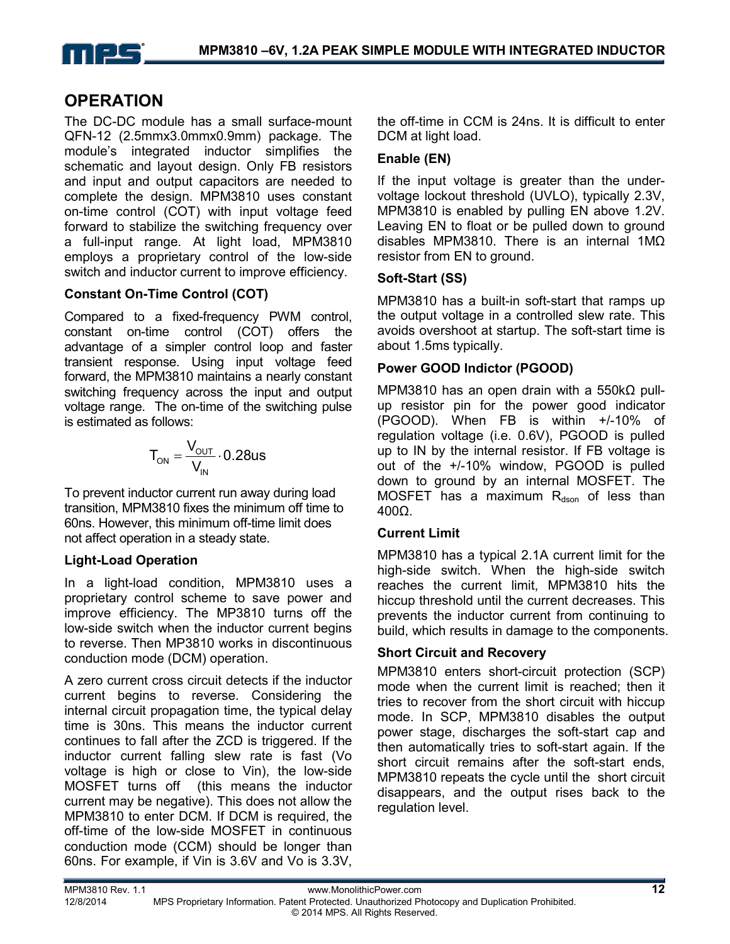

### **OPERATION**

The DC-DC module has a small surface-mount QFN-12 (2.5mmx3.0mmx0.9mm) package. The module's integrated inductor simplifies the schematic and layout design. Only FB resistors and input and output capacitors are needed to complete the design. MPM3810 uses constant on-time control (COT) with input voltage feed forward to stabilize the switching frequency over a full-input range. At light load, MPM3810 employs a proprietary control of the low-side switch and inductor current to improve efficiency.

#### **Constant On-Time Control (COT)**

Compared to a fixed-frequency PWM control, constant on-time control (COT) offers the advantage of a simpler control loop and faster transient response. Using input voltage feed forward, the MPM3810 maintains a nearly constant switching frequency across the input and output voltage range. The on-time of the switching pulse is estimated as follows:

$$
T_{ON} = \frac{V_{OUT}}{V_{IN}} \cdot 0.28us
$$

To prevent inductor current run away during load transition, MPM3810 fixes the minimum off time to 60ns. However, this minimum off-time limit does not affect operation in a steady state.

#### **Light-Load Operation**

In a light-load condition, MPM3810 uses a proprietary control scheme to save power and improve efficiency. The MP3810 turns off the low-side switch when the inductor current begins to reverse. Then MP3810 works in discontinuous conduction mode (DCM) operation.

A zero current cross circuit detects if the inductor current begins to reverse. Considering the internal circuit propagation time, the typical delay time is 30ns. This means the inductor current continues to fall after the ZCD is triggered. If the inductor current falling slew rate is fast (Vo voltage is high or close to Vin), the low-side MOSFET turns off (this means the inductor current may be negative). This does not allow the MPM3810 to enter DCM. If DCM is required, the off-time of the low-side MOSFET in continuous conduction mode (CCM) should be longer than 60ns. For example, if Vin is 3.6V and Vo is 3.3V, the off-time in CCM is 24ns. It is difficult to enter DCM at light load.

#### **Enable (EN)**

If the input voltage is greater than the undervoltage lockout threshold (UVLO), typically 2.3V, MPM3810 is enabled by pulling EN above 1.2V. Leaving EN to float or be pulled down to ground disables MPM3810. There is an internal 1MΩ resistor from EN to ground.

#### **Soft-Start (SS)**

MPM3810 has a built-in soft-start that ramps up the output voltage in a controlled slew rate. This avoids overshoot at startup. The soft-start time is about 1.5ms typically.

#### **Power GOOD Indictor (PGOOD)**

MPM3810 has an open drain with a 550kΩ pullup resistor pin for the power good indicator (PGOOD). When FB is within +/-10% of regulation voltage (i.e. 0.6V), PGOOD is pulled up to IN by the internal resistor. If FB voltage is out of the +/-10% window, PGOOD is pulled down to ground by an internal MOSFET. The MOSFET has a maximum  $R_{dson}$  of less than 400Ω.

#### **Current Limit**

MPM3810 has a typical 2.1A current limit for the high-side switch. When the high-side switch reaches the current limit, MPM3810 hits the hiccup threshold until the current decreases. This prevents the inductor current from continuing to build, which results in damage to the components.

#### **Short Circuit and Recovery**

MPM3810 enters short-circuit protection (SCP) mode when the current limit is reached; then it tries to recover from the short circuit with hiccup mode. In SCP, MPM3810 disables the output power stage, discharges the soft-start cap and then automatically tries to soft-start again. If the short circuit remains after the soft-start ends, MPM3810 repeats the cycle until the short circuit disappears, and the output rises back to the regulation level.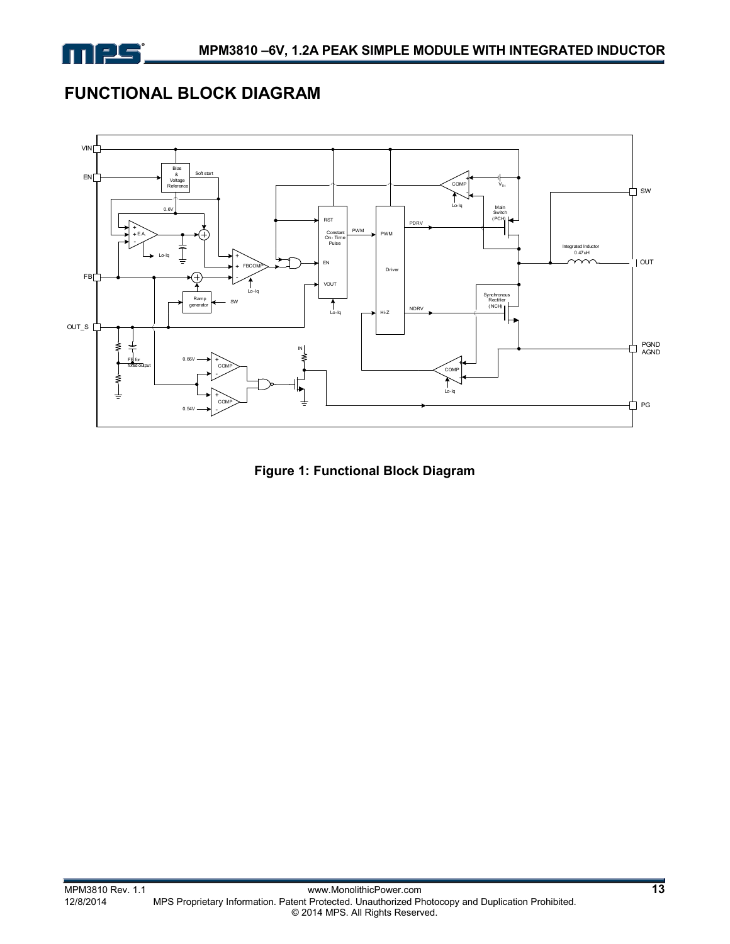

# **FUNCTIONAL BLOCK DIAGRAM**



**Figure 1: Functional Block Diagram**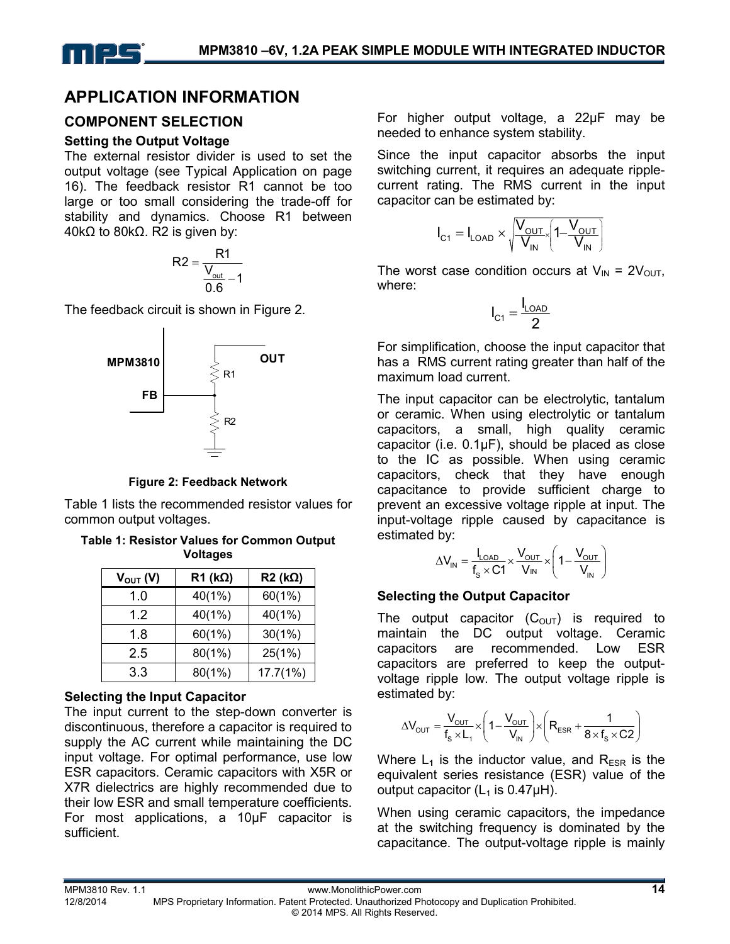## **APPLICATION INFORMATION**

#### **COMPONENT SELECTION**

#### **Setting the Output Voltage**

The external resistor divider is used to set the output voltage (see Typical Application on page 16). The feedback resistor R1 cannot be too large or too small considering the trade-off for stability and dynamics. Choose R1 between 40kΩ to 80kΩ. R2 is given by:

$$
R2 = \frac{R1}{\frac{V_{\text{out}}}{0.6} - 1}
$$

The feedback circuit is shown in Figure 2.



**Figure 2: Feedback Network**

Table 1 lists the recommended resistor values for common output voltages.

**Table 1: Resistor Values for Common Output Voltages** 

| $V_{\text{OUT}}(V)$ | $R1$ (k $\Omega$ ) | $R2$ (k $\Omega$ ) |
|---------------------|--------------------|--------------------|
| 1.0                 | 40(1%)             | 60(1%)             |
| 1.2                 | 40(1%)             | $40(1\%)$          |
| 1.8                 | 60(1%)             | $30(1\%)$          |
| 2.5                 | 80(1%)             | 25(1%)             |
| 3.3                 | 80(1%)             | 17.7(1%)           |

#### **Selecting the Input Capacitor**

The input current to the step-down converter is discontinuous, therefore a capacitor is required to supply the AC current while maintaining the DC input voltage. For optimal performance, use low ESR capacitors. Ceramic capacitors with X5R or X7R dielectrics are highly recommended due to their low ESR and small temperature coefficients. For most applications, a 10µF capacitor is sufficient.

For higher output voltage, a 22µF may be needed to enhance system stability.

Since the input capacitor absorbs the input switching current, it requires an adequate ripplecurrent rating. The RMS current in the input capacitor can be estimated by:

$$
I_{C1} = I_{LOAD} \times \sqrt{\frac{V_{OUT}}{V_{IN}} \left(1 - \frac{V_{OUT}}{V_{IN}}\right)}
$$

The worst case condition occurs at  $V_{\text{IN}} = 2V_{\text{OUT}}$ , where:

$$
I_{C1} = \frac{I_{LOAD}}{2}
$$

For simplification, choose the input capacitor that has a RMS current rating greater than half of the maximum load current.

The input capacitor can be electrolytic, tantalum or ceramic. When using electrolytic or tantalum capacitors, a small, high quality ceramic capacitor (i.e.  $0.1\mu$ F), should be placed as close to the IC as possible. When using ceramic capacitors, check that they have enough capacitance to provide sufficient charge to prevent an excessive voltage ripple at input. The input-voltage ripple caused by capacitance is estimated by:

$$
\Delta V_{IN} = \frac{I_{LOAD}}{f_s \times C1} \times \frac{V_{OUT}}{V_{IN}} \times \left(1 - \frac{V_{OUT}}{V_{IN}}\right)
$$

#### **Selecting the Output Capacitor**

The output capacitor  $(C_{\text{OUT}})$  is required to maintain the DC output voltage. Ceramic capacitors are recommended. Low ESR capacitors are preferred to keep the outputvoltage ripple low. The output voltage ripple is estimated by:

$$
\Delta V_{\text{OUT}} = \frac{V_{\text{OUT}}}{f_s \times L_1} \times \left(1 - \frac{V_{\text{OUT}}}{V_{\text{IN}}}\right) \times \left(R_{\text{ESR}} + \frac{1}{8 \times f_s \times C2}\right)
$$

Where  $L_1$  is the inductor value, and  $R_{ESR}$  is the equivalent series resistance (ESR) value of the output capacitor  $(L_1$  is 0.47 $\mu$ H).

When using ceramic capacitors, the impedance at the switching frequency is dominated by the capacitance. The output-voltage ripple is mainly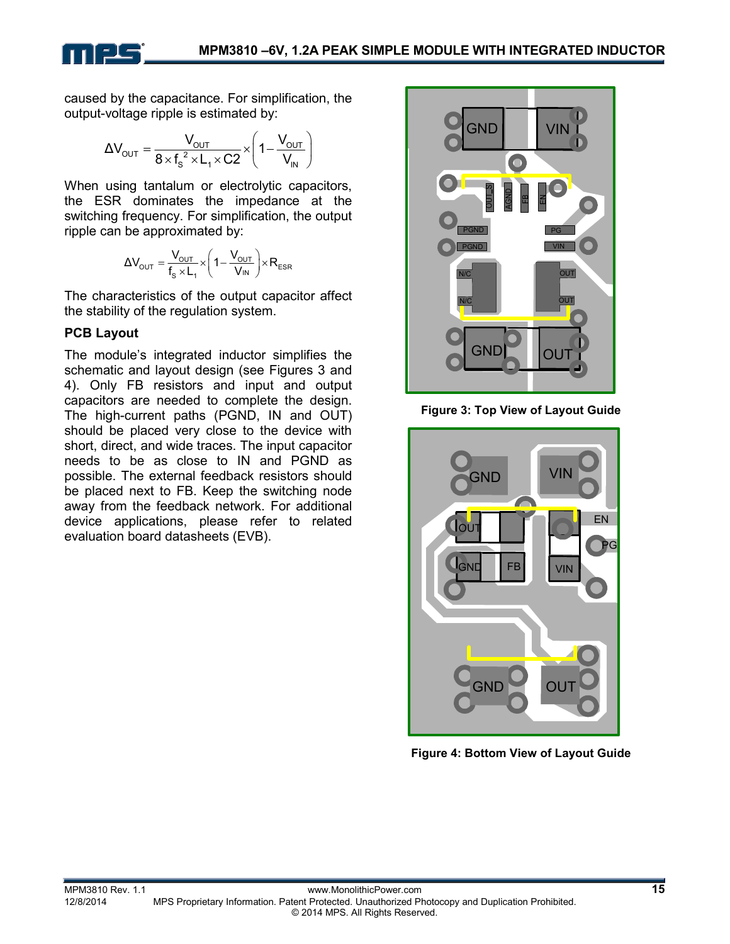

caused by the capacitance. For simplification, the output-voltage ripple is estimated by:

$$
\Delta V_{\text{OUT}} = \frac{V_{\text{OUT}}}{8 \times f_s^2 \times L_1 \times C2} \times \left(1 - \frac{V_{\text{OUT}}}{V_{\text{IN}}}\right)
$$

When using tantalum or electrolytic capacitors, the ESR dominates the impedance at the switching frequency. For simplification, the output ripple can be approximated by:

$$
\Delta V_{\text{OUT}}=\frac{V_{\text{OUT}}}{f_s\times L_1}\times\left(1-\frac{V_{\text{OUT}}}{V_\text{IN}}\right)\times R_{\text{ESR}}
$$

The characteristics of the output capacitor affect the stability of the regulation system.

#### **PCB Layout**

The module's integrated inductor simplifies the schematic and layout design (see Figures 3 and 4). Only FB resistors and input and output capacitors are needed to complete the design. The high-current paths (PGND, IN and OUT) should be placed very close to the device with short, direct, and wide traces. The input capacitor needs to be as close to IN and PGND as possible. The external feedback resistors should be placed next to FB. Keep the switching node away from the feedback network. For additional device applications, please refer to related evaluation board datasheets (EVB).



**Figure 3: Top View of Layout Guide** 



**Figure 4: Bottom View of Layout Guide**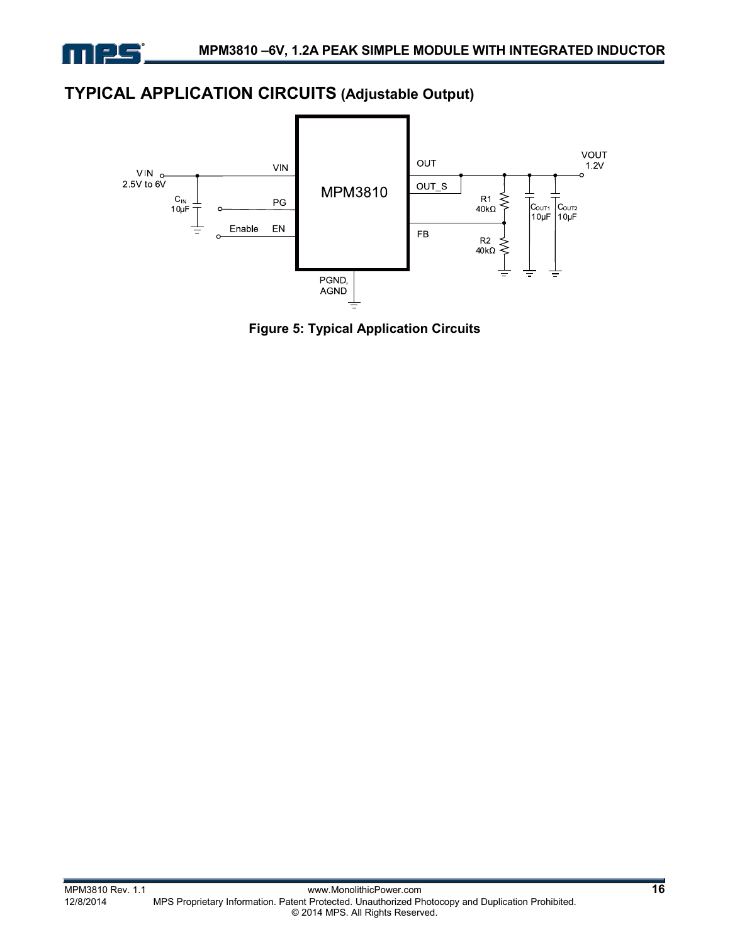

### **TYPICAL APPLICATION CIRCUITS (Adjustable Output)**



**Figure 5: Typical Application Circuits**